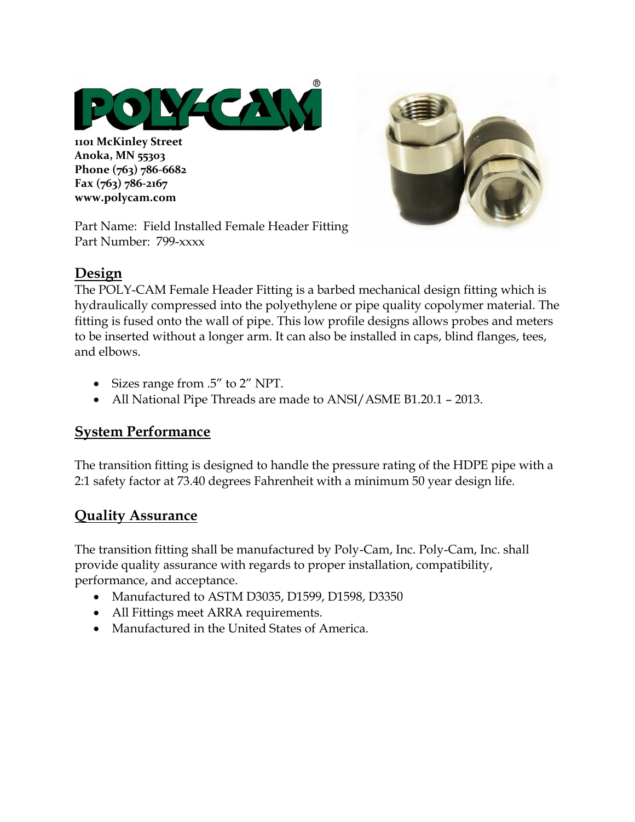

**1101 McKinley Street Anoka, MN 55303 Phone (763) 786-6682 Fax (763) 786-2167 www.polycam.com**



Part Name: Field Installed Female Header Fitting Part Number: 799-xxxx

#### **Design**

The POLY-CAM Female Header Fitting is a barbed mechanical design fitting which is hydraulically compressed into the polyethylene or pipe quality copolymer material. The fitting is fused onto the wall of pipe. This low profile designs allows probes and meters to be inserted without a longer arm. It can also be installed in caps, blind flanges, tees, and elbows.

- Sizes range from .5" to 2" NPT.
- All National Pipe Threads are made to ANSI/ASME B1.20.1 2013.

## **System Performance**

The transition fitting is designed to handle the pressure rating of the HDPE pipe with a 2:1 safety factor at 73.40 degrees Fahrenheit with a minimum 50 year design life.

## **Quality Assurance**

The transition fitting shall be manufactured by Poly-Cam, Inc. Poly-Cam, Inc. shall provide quality assurance with regards to proper installation, compatibility, performance, and acceptance.

- Manufactured to ASTM D3035, D1599, D1598, D3350
- All Fittings meet ARRA requirements.
- Manufactured in the United States of America.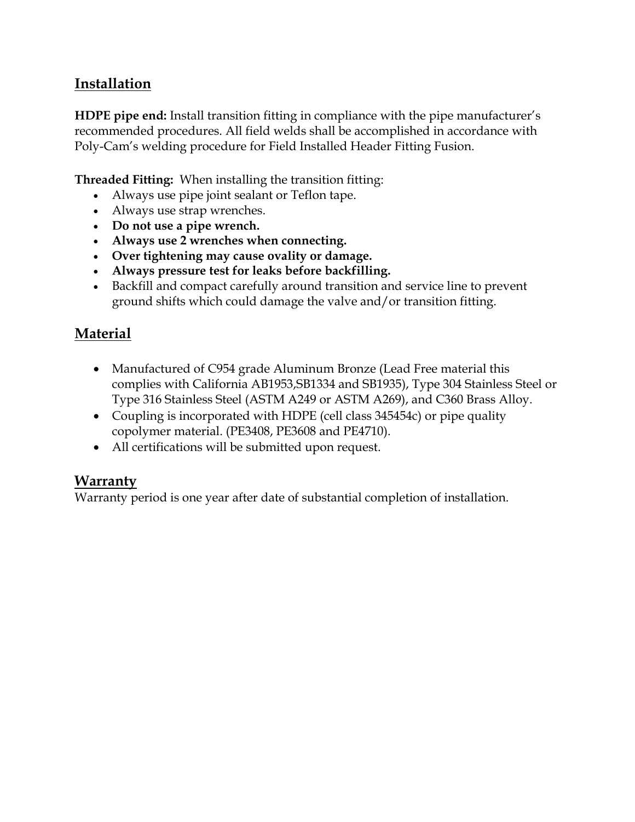# **Installation**

**HDPE pipe end:** Install transition fitting in compliance with the pipe manufacturer's recommended procedures. All field welds shall be accomplished in accordance with Poly-Cam's welding procedure for Field Installed Header Fitting Fusion.

**Threaded Fitting:** When installing the transition fitting:

- Always use pipe joint sealant or Teflon tape.
- Always use strap wrenches.
- **Do not use a pipe wrench.**
- **Always use 2 wrenches when connecting.**
- **Over tightening may cause ovality or damage.**
- **Always pressure test for leaks before backfilling.**
- Backfill and compact carefully around transition and service line to prevent ground shifts which could damage the valve and/or transition fitting.

## **Material**

- Manufactured of C954 grade Aluminum Bronze (Lead Free material this complies with California AB1953,SB1334 and SB1935), Type 304 Stainless Steel or Type 316 Stainless Steel (ASTM A249 or ASTM A269), and C360 Brass Alloy.
- Coupling is incorporated with HDPE (cell class 345454c) or pipe quality copolymer material. (PE3408, PE3608 and PE4710).
- All certifications will be submitted upon request.

## **Warranty**

Warranty period is one year after date of substantial completion of installation.